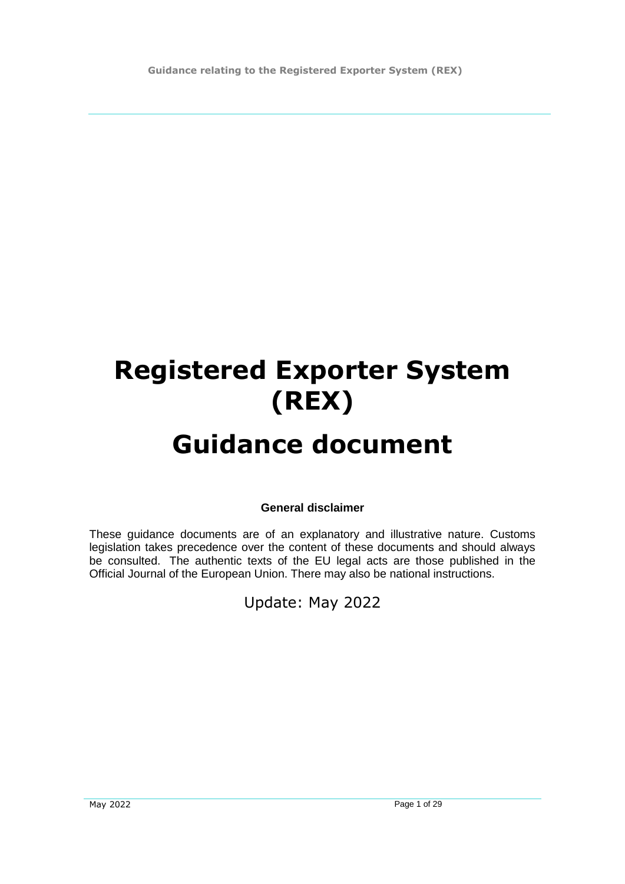**Guidance relating to the Registered Exporter System (REX)**

# **Registered Exporter System (REX)**

# **Guidance document**

**General disclaimer**

These guidance documents are of an explanatory and illustrative nature. Customs legislation takes precedence over the content of these documents and should always be consulted. The authentic texts of the EU legal acts are those published in the Official Journal of the European Union. There may also be national instructions.

Update: May 2022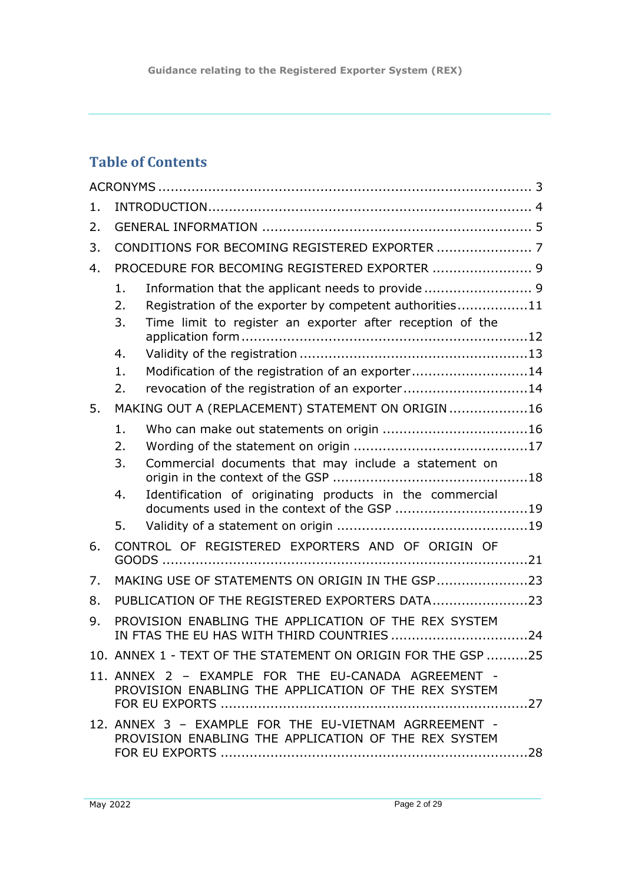**Guidance relating to the Registered Exporter System (REX)**

# **Table of Contents**

| $1$ . |                                                                                                               |                                                                                                         |  |
|-------|---------------------------------------------------------------------------------------------------------------|---------------------------------------------------------------------------------------------------------|--|
| 2.    |                                                                                                               |                                                                                                         |  |
| 3.    |                                                                                                               |                                                                                                         |  |
| 4.    | PROCEDURE FOR BECOMING REGISTERED EXPORTER  9                                                                 |                                                                                                         |  |
|       | $\mathbf{1}$ .                                                                                                | Information that the applicant needs to provide  9                                                      |  |
|       | 2.                                                                                                            | Registration of the exporter by competent authorities11                                                 |  |
|       | 3.                                                                                                            | Time limit to register an exporter after reception of the                                               |  |
|       | 4.                                                                                                            |                                                                                                         |  |
|       | 1.                                                                                                            | Modification of the registration of an exporter14                                                       |  |
|       | 2.                                                                                                            | revocation of the registration of an exporter14                                                         |  |
| 5.    | MAKING OUT A (REPLACEMENT) STATEMENT ON ORIGIN 16                                                             |                                                                                                         |  |
|       | $\mathbf{1}$ .                                                                                                |                                                                                                         |  |
|       | 2.                                                                                                            |                                                                                                         |  |
|       | 3.                                                                                                            | Commercial documents that may include a statement on                                                    |  |
|       | 4.                                                                                                            | Identification of originating products in the commercial<br>documents used in the context of the GSP 19 |  |
|       | 5.                                                                                                            |                                                                                                         |  |
| 6.    | CONTROL OF REGISTERED EXPORTERS AND OF ORIGIN OF                                                              |                                                                                                         |  |
|       |                                                                                                               |                                                                                                         |  |
| 7.    | MAKING USE OF STATEMENTS ON ORIGIN IN THE GSP23                                                               |                                                                                                         |  |
| 8.    | PUBLICATION OF THE REGISTERED EXPORTERS DATA23                                                                |                                                                                                         |  |
| 9.    | PROVISION ENABLING THE APPLICATION OF THE REX SYSTEM<br>IN FTAS THE EU HAS WITH THIRD COUNTRIES 24            |                                                                                                         |  |
|       | 10. ANNEX 1 - TEXT OF THE STATEMENT ON ORIGIN FOR THE GSP 25                                                  |                                                                                                         |  |
|       | 11. ANNEX 2 - EXAMPLE FOR THE EU-CANADA AGREEMENT -<br>PROVISION ENABLING THE APPLICATION OF THE REX SYSTEM   |                                                                                                         |  |
|       | 12. ANNEX 3 - EXAMPLE FOR THE EU-VIETNAM AGRREEMENT -<br>PROVISION ENABLING THE APPLICATION OF THE REX SYSTEM |                                                                                                         |  |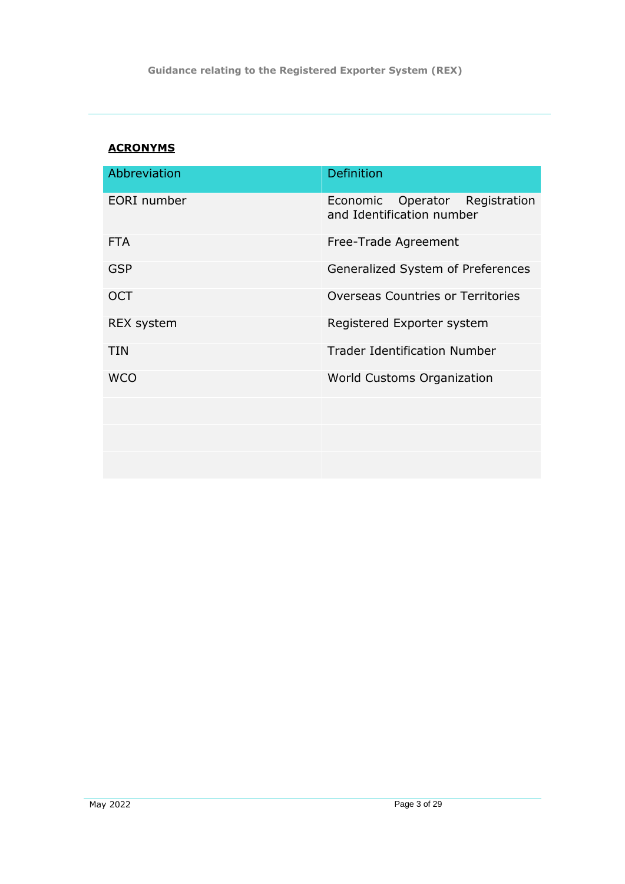# <span id="page-2-0"></span>**ACRONYMS**

| Abbreviation      | Definition                                                     |
|-------------------|----------------------------------------------------------------|
| EORI number       | Operator Registration<br>Economic<br>and Identification number |
| <b>FTA</b>        | Free-Trade Agreement                                           |
| <b>GSP</b>        | Generalized System of Preferences                              |
| <b>OCT</b>        | Overseas Countries or Territories                              |
| <b>REX system</b> | Registered Exporter system                                     |
| <b>TIN</b>        | <b>Trader Identification Number</b>                            |
| <b>WCO</b>        | <b>World Customs Organization</b>                              |
|                   |                                                                |
|                   |                                                                |
|                   |                                                                |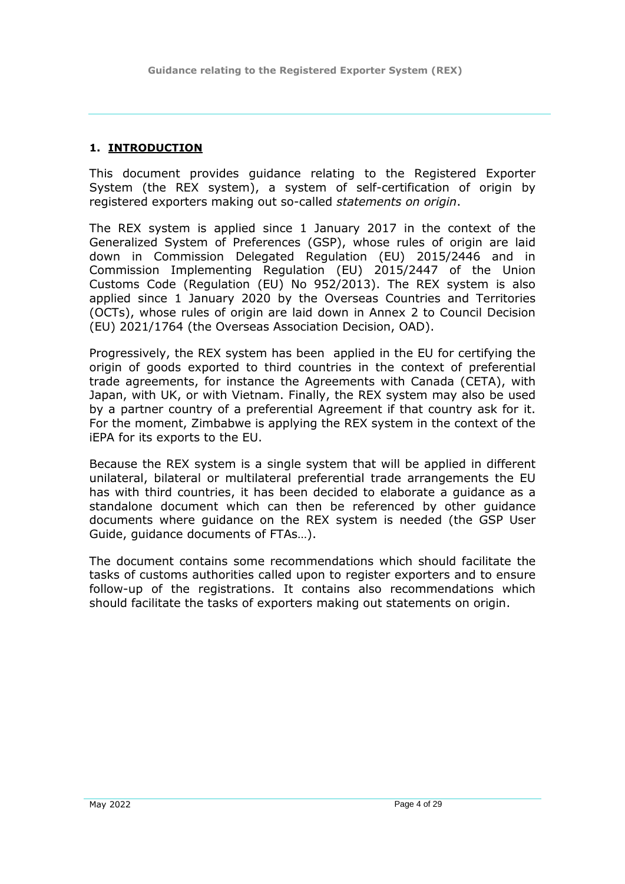### <span id="page-3-0"></span>**1. INTRODUCTION**

This document provides guidance relating to the Registered Exporter System (the REX system), a system of self-certification of origin by registered exporters making out so-called *statements on origin*.

The REX system is applied since 1 January 2017 in the context of the Generalized System of Preferences (GSP), whose rules of origin are laid down in Commission Delegated Regulation (EU) 2015/2446 and in Commission Implementing Regulation (EU) 2015/2447 of the Union Customs Code (Regulation (EU) No 952/2013). The REX system is also applied since 1 January 2020 by the Overseas Countries and Territories (OCTs), whose rules of origin are laid down in Annex 2 to Council Decision (EU) 2021/1764 (the Overseas Association Decision, OAD).

Progressively, the REX system has been applied in the EU for certifying the origin of goods exported to third countries in the context of preferential trade agreements, for instance the Agreements with Canada (CETA), with Japan, with UK, or with Vietnam. Finally, the REX system may also be used by a partner country of a preferential Agreement if that country ask for it. For the moment, Zimbabwe is applying the REX system in the context of the iEPA for its exports to the EU.

Because the REX system is a single system that will be applied in different unilateral, bilateral or multilateral preferential trade arrangements the EU has with third countries, it has been decided to elaborate a guidance as a standalone document which can then be referenced by other guidance documents where guidance on the REX system is needed (the GSP User Guide, guidance documents of FTAs…).

The document contains some recommendations which should facilitate the tasks of customs authorities called upon to register exporters and to ensure follow-up of the registrations. It contains also recommendations which should facilitate the tasks of exporters making out statements on origin.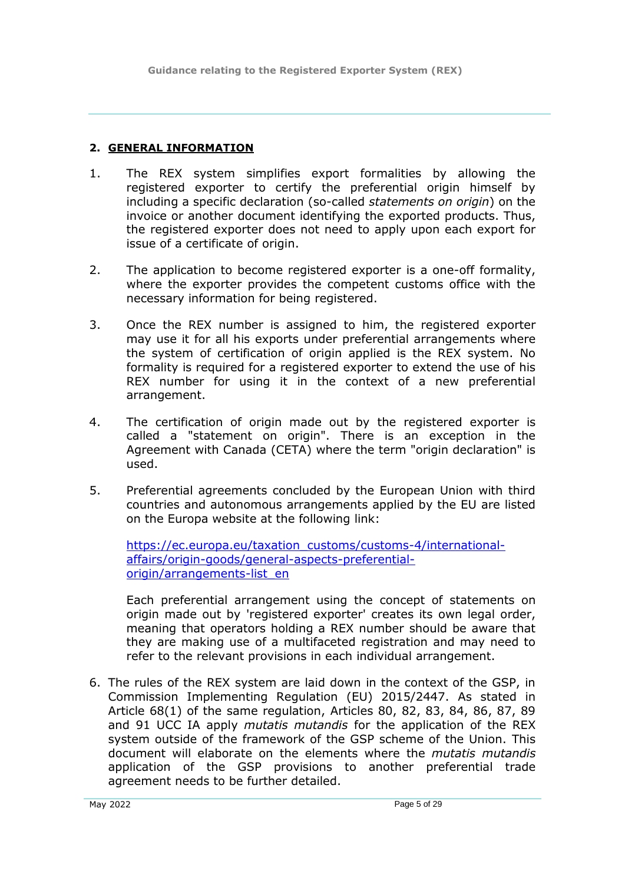### <span id="page-4-0"></span>**2. GENERAL INFORMATION**

- 1. The REX system simplifies export formalities by allowing the registered exporter to certify the preferential origin himself by including a specific declaration (so-called *statements on origin*) on the invoice or another document identifying the exported products. Thus, the registered exporter does not need to apply upon each export for issue of a certificate of origin.
- 2. The application to become registered exporter is a one-off formality, where the exporter provides the competent customs office with the necessary information for being registered.
- 3. Once the REX number is assigned to him, the registered exporter may use it for all his exports under preferential arrangements where the system of certification of origin applied is the REX system. No formality is required for a registered exporter to extend the use of his REX number for using it in the context of a new preferential arrangement.
- 4. The certification of origin made out by the registered exporter is called a "statement on origin". There is an exception in the Agreement with Canada (CETA) where the term "origin declaration" is used.
- 5. Preferential agreements concluded by the European Union with third countries and autonomous arrangements applied by the EU are listed on the Europa website at the following link:

[https://ec.europa.eu/taxation\\_customs/customs-4/international](https://ec.europa.eu/taxation_customs/customs-4/international-affairs/origin-goods/general-aspects-preferential-origin/arrangements-list_en)[affairs/origin-goods/general-aspects-preferential](https://ec.europa.eu/taxation_customs/customs-4/international-affairs/origin-goods/general-aspects-preferential-origin/arrangements-list_en)[origin/arrangements-list\\_en](https://ec.europa.eu/taxation_customs/customs-4/international-affairs/origin-goods/general-aspects-preferential-origin/arrangements-list_en)

Each preferential arrangement using the concept of statements on origin made out by 'registered exporter' creates its own legal order, meaning that operators holding a REX number should be aware that they are making use of a multifaceted registration and may need to refer to the relevant provisions in each individual arrangement.

6. The rules of the REX system are laid down in the context of the GSP, in Commission Implementing Regulation (EU) 2015/2447. As stated in Article 68(1) of the same regulation, Articles 80, 82, 83, 84, 86, 87, 89 and 91 UCC IA apply *mutatis mutandis* for the application of the REX system outside of the framework of the GSP scheme of the Union. This document will elaborate on the elements where the *mutatis mutandis* application of the GSP provisions to another preferential trade agreement needs to be further detailed.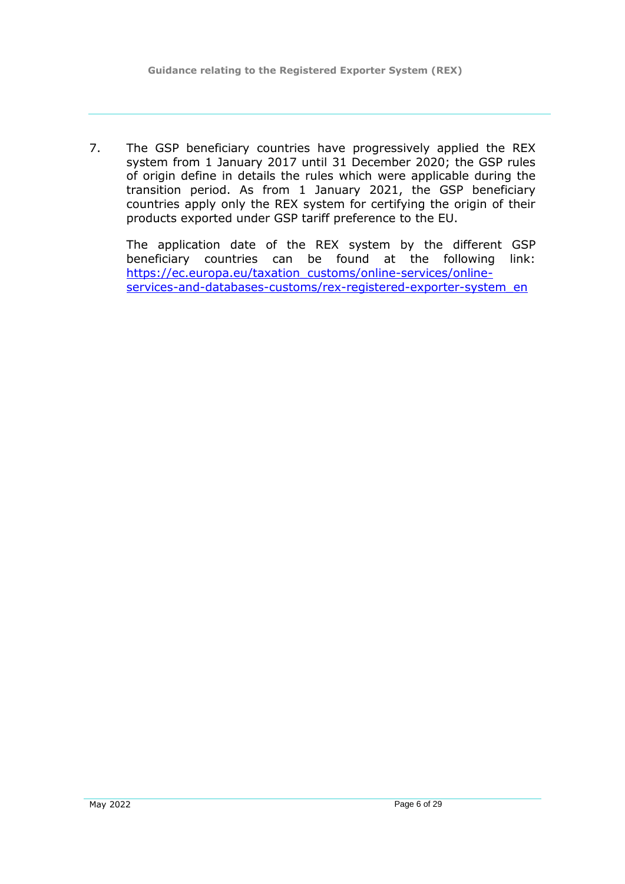7. The GSP beneficiary countries have progressively applied the REX system from 1 January 2017 until 31 December 2020; the GSP rules of origin define in details the rules which were applicable during the transition period. As from 1 January 2021, the GSP beneficiary countries apply only the REX system for certifying the origin of their products exported under GSP tariff preference to the EU.

The application date of the REX system by the different GSP beneficiary countries can be found at the following link: [https://ec.europa.eu/taxation\\_customs/online-services/online](https://ec.europa.eu/taxation_customs/online-services/online-services-and-databases-customs/rex-registered-exporter-system_en)[services-and-databases-customs/rex-registered-exporter-system\\_en](https://ec.europa.eu/taxation_customs/online-services/online-services-and-databases-customs/rex-registered-exporter-system_en)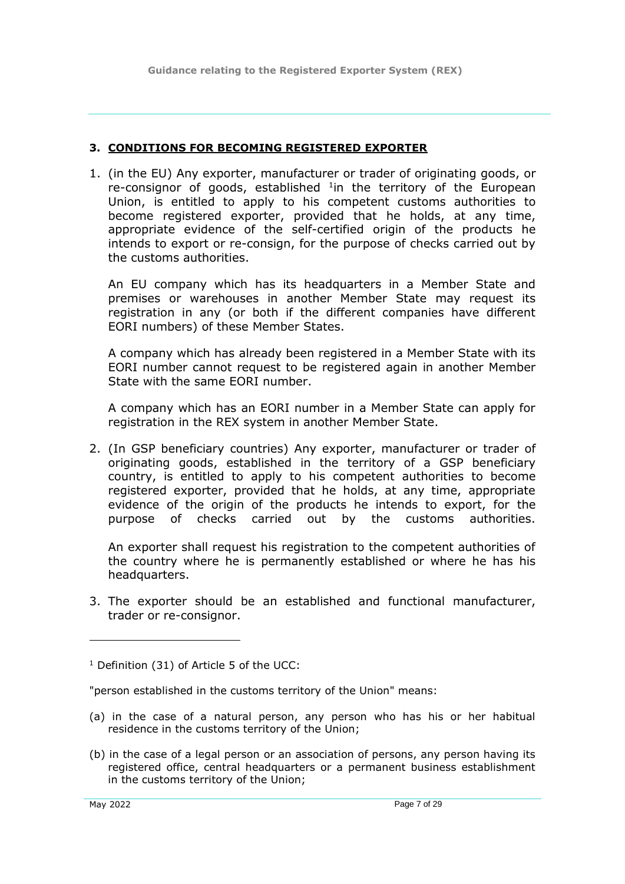#### <span id="page-6-0"></span>**3. CONDITIONS FOR BECOMING REGISTERED EXPORTER**

1. (in the EU) Any exporter, manufacturer or trader of originating goods, or re-consignor of goods, established  $1$ in the territory of the European Union, is entitled to apply to his competent customs authorities to become registered exporter, provided that he holds, at any time, appropriate evidence of the self-certified origin of the products he intends to export or re-consign, for the purpose of checks carried out by the customs authorities.

An EU company which has its headquarters in a Member State and premises or warehouses in another Member State may request its registration in any (or both if the different companies have different EORI numbers) of these Member States.

A company which has already been registered in a Member State with its EORI number cannot request to be registered again in another Member State with the same EORI number.

A company which has an EORI number in a Member State can apply for registration in the REX system in another Member State.

2. (In GSP beneficiary countries) Any exporter, manufacturer or trader of originating goods, established in the territory of a GSP beneficiary country, is entitled to apply to his competent authorities to become registered exporter, provided that he holds, at any time, appropriate evidence of the origin of the products he intends to export, for the purpose of checks carried out by the customs authorities.

An exporter shall request his registration to the competent authorities of the country where he is permanently established or where he has his headquarters.

3. The exporter should be an established and functional manufacturer, trader or re-consignor.

 $1$  Definition (31) of Article 5 of the UCC:

"person established in the customs territory of the Union" means:

- (a) in the case of a natural person, any person who has his or her habitual residence in the customs territory of the Union;
- (b) in the case of a legal person or an association of persons, any person having its registered office, central headquarters or a permanent business establishment in the customs territory of the Union;

-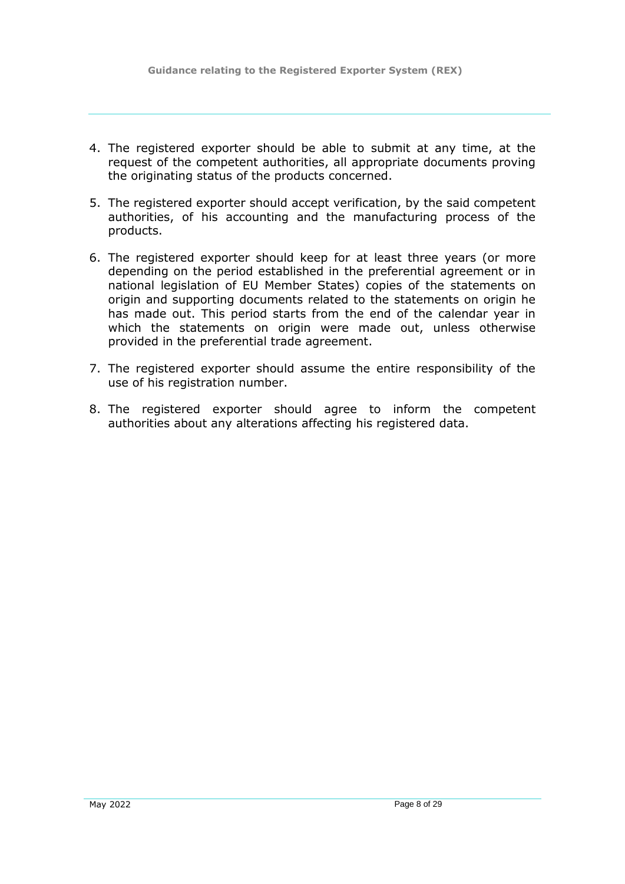- 4. The registered exporter should be able to submit at any time, at the request of the competent authorities, all appropriate documents proving the originating status of the products concerned.
- 5. The registered exporter should accept verification, by the said competent authorities, of his accounting and the manufacturing process of the products.
- 6. The registered exporter should keep for at least three years (or more depending on the period established in the preferential agreement or in national legislation of EU Member States) copies of the statements on origin and supporting documents related to the statements on origin he has made out. This period starts from the end of the calendar year in which the statements on origin were made out, unless otherwise provided in the preferential trade agreement.
- 7. The registered exporter should assume the entire responsibility of the use of his registration number.
- 8. The registered exporter should agree to inform the competent authorities about any alterations affecting his registered data.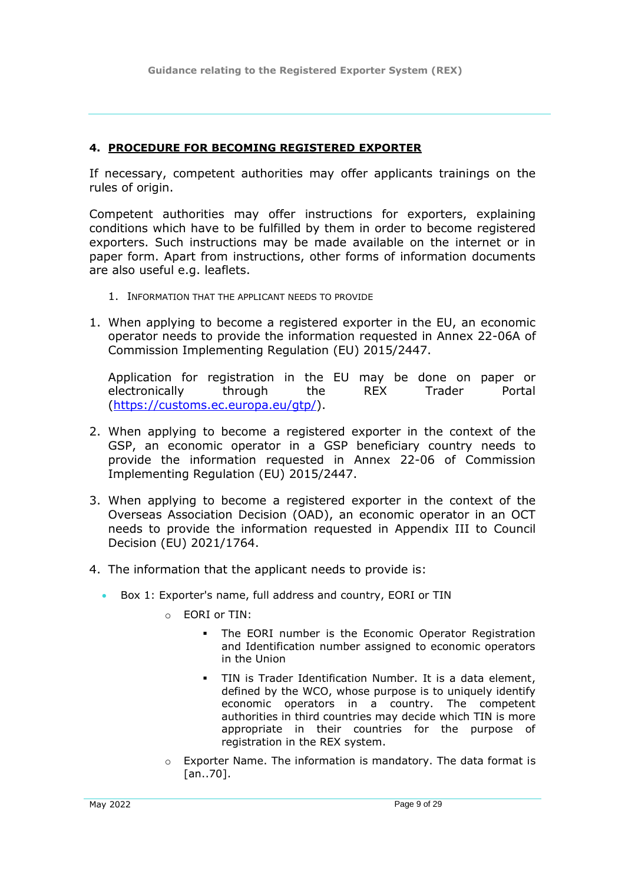#### <span id="page-8-0"></span>**4. PROCEDURE FOR BECOMING REGISTERED EXPORTER**

If necessary, competent authorities may offer applicants trainings on the rules of origin.

Competent authorities may offer instructions for exporters, explaining conditions which have to be fulfilled by them in order to become registered exporters. Such instructions may be made available on the internet or in paper form. Apart from instructions, other forms of information documents are also useful e.g. leaflets.

- <span id="page-8-1"></span>1. INFORMATION THAT THE APPLICANT NEEDS TO PROVIDE
- 1. When applying to become a registered exporter in the EU, an economic operator needs to provide the information requested in Annex 22-06A of Commission Implementing Regulation (EU) 2015/2447.

Application for registration in the EU may be done on paper or electronically through the REX Trader Portal [\(https://customs.ec.europa.eu/gtp/\)](https://customs.ec.europa.eu/gtp/).

- 2. When applying to become a registered exporter in the context of the GSP, an economic operator in a GSP beneficiary country needs to provide the information requested in Annex 22-06 of Commission Implementing Regulation (EU) 2015/2447.
- 3. When applying to become a registered exporter in the context of the Overseas Association Decision (OAD), an economic operator in an OCT needs to provide the information requested in Appendix III to Council Decision (EU) 2021/1764.
- 4. The information that the applicant needs to provide is:
	- Box 1: Exporter's name, full address and country, EORI or TIN
		- o EORI or TIN:
			- The EORI number is the Economic Operator Registration and Identification number assigned to economic operators in the Union
			- TIN is Trader Identification Number. It is a data element, defined by the WCO, whose purpose is to uniquely identify economic operators in a country. The competent authorities in third countries may decide which TIN is more appropriate in their countries for the purpose of registration in the REX system.
		- o Exporter Name. The information is mandatory. The data format is [an..70].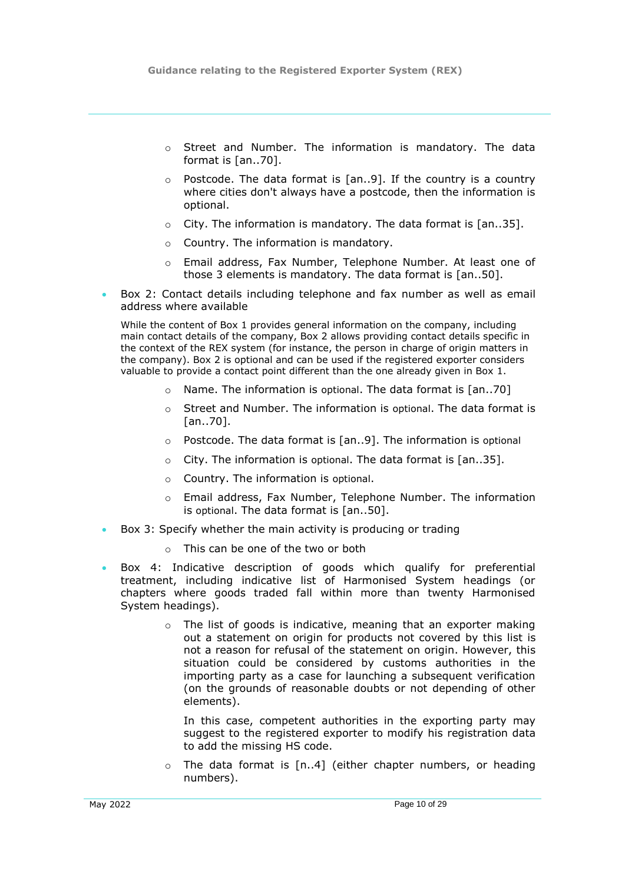- o Street and Number. The information is mandatory. The data format is [an..70].
- $\circ$  Postcode. The data format is [an..9]. If the country is a country where cities don't always have a postcode, then the information is optional.
- $\circ$  City. The information is mandatory. The data format is [an..35].
- o Country. The information is mandatory.
- o Email address, Fax Number, Telephone Number. At least one of those 3 elements is mandatory. The data format is [an..50].
- Box 2: Contact details including telephone and fax number as well as email address where available

While the content of Box 1 provides general information on the company, including main contact details of the company, Box 2 allows providing contact details specific in the context of the REX system (for instance, the person in charge of origin matters in the company). Box 2 is optional and can be used if the registered exporter considers valuable to provide a contact point different than the one already given in Box 1.

- o Name. The information is optional. The data format is [an..70]
- $\circ$  Street and Number. The information is optional. The data format is [an..70].
- o Postcode. The data format is [an..9]. The information is optional
- $\circ$  City. The information is optional. The data format is  $\lceil$ an..351.
- o Country. The information is optional.
- o Email address, Fax Number, Telephone Number. The information is optional. The data format is [an..50].
- Box 3: Specify whether the main activity is producing or trading
	- o This can be one of the two or both
- Box 4: Indicative description of goods which qualify for preferential treatment, including indicative list of Harmonised System headings (or chapters where goods traded fall within more than twenty Harmonised System headings).
	- o The list of goods is indicative, meaning that an exporter making out a statement on origin for products not covered by this list is not a reason for refusal of the statement on origin. However, this situation could be considered by customs authorities in the importing party as a case for launching a subsequent verification (on the grounds of reasonable doubts or not depending of other elements).

In this case, competent authorities in the exporting party may suggest to the registered exporter to modify his registration data to add the missing HS code.

The data format is [n..4] (either chapter numbers, or heading numbers).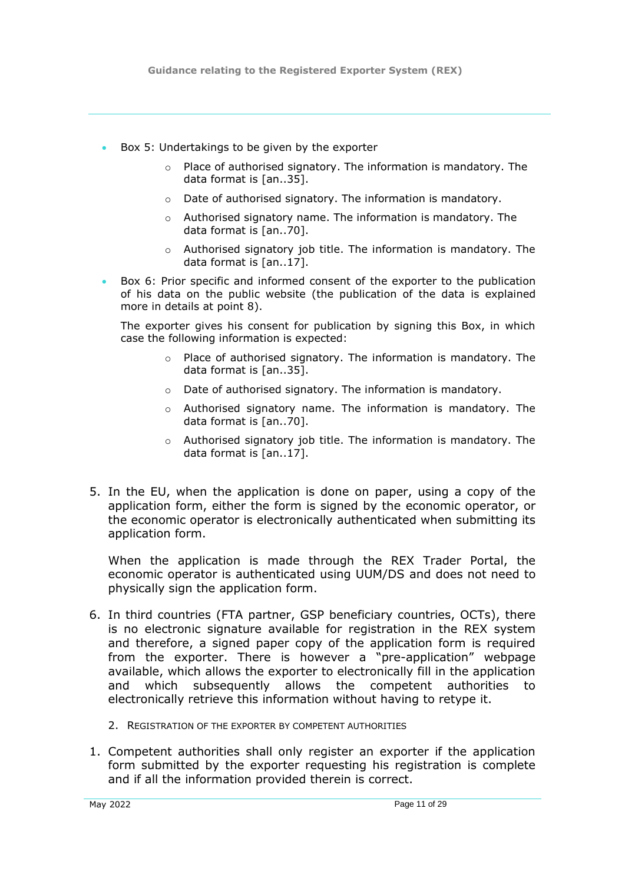- Box 5: Undertakings to be given by the exporter
	- o Place of authorised signatory. The information is mandatory. The data format is [an..35].
	- o Date of authorised signatory. The information is mandatory.
	- o Authorised signatory name. The information is mandatory. The data format is [an..70].
	- $\circ$  Authorised signatory job title. The information is mandatory. The data format is [an..17].
- Box 6: Prior specific and informed consent of the exporter to the publication of his data on the public website (the publication of the data is explained more in details at point [8\)](#page-22-1).

The exporter gives his consent for publication by signing this Box, in which case the following information is expected:

- o Place of authorised signatory. The information is mandatory. The data format is [an..35].
- o Date of authorised signatory. The information is mandatory.
- $\circ$  Authorised signatory name. The information is mandatory. The data format is [an..70].
- o Authorised signatory job title. The information is mandatory. The data format is [an..17].
- 5. In the EU, when the application is done on paper, using a copy of the application form, either the form is signed by the economic operator, or the economic operator is electronically authenticated when submitting its application form.

When the application is made through the REX Trader Portal, the economic operator is authenticated using UUM/DS and does not need to physically sign the application form.

- 6. In third countries (FTA partner, GSP beneficiary countries, OCTs), there is no electronic signature available for registration in the REX system and therefore, a signed paper copy of the application form is required from the exporter. There is however a "pre-application" webpage available, which allows the exporter to electronically fill in the application and which subsequently allows the competent authorities to electronically retrieve this information without having to retype it.
	- 2. REGISTRATION OF THE EXPORTER BY COMPETENT AUTHORITIES
- <span id="page-10-0"></span>1. Competent authorities shall only register an exporter if the application form submitted by the exporter requesting his registration is complete and if all the information provided therein is correct.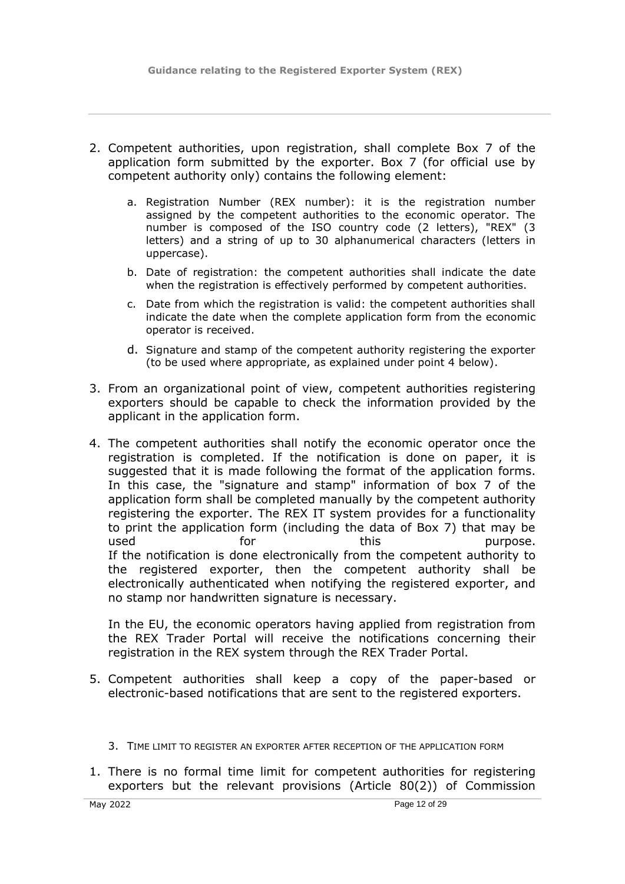- 2. Competent authorities, upon registration, shall complete Box 7 of the application form submitted by the exporter. Box 7 (for official use by competent authority only) contains the following element:
	- a. Registration Number (REX number): it is the registration number assigned by the competent authorities to the economic operator. The number is composed of the ISO country code (2 letters), "REX" (3 letters) and a string of up to 30 alphanumerical characters (letters in uppercase).
	- b. Date of registration: the competent authorities shall indicate the date when the registration is effectively performed by competent authorities.
	- c. Date from which the registration is valid: the competent authorities shall indicate the date when the complete application form from the economic operator is received.
	- d. Signature and stamp of the competent authority registering the exporter (to be used where appropriate, as explained under point 4 below).
- 3. From an organizational point of view, competent authorities registering exporters should be capable to check the information provided by the applicant in the application form.
- 4. The competent authorities shall notify the economic operator once the registration is completed. If the notification is done on paper, it is suggested that it is made following the format of the application forms. In this case, the "signature and stamp" information of box 7 of the application form shall be completed manually by the competent authority registering the exporter. The REX IT system provides for a functionality to print the application form (including the data of Box 7) that may be used **for** for this purpose. If the notification is done electronically from the competent authority to the registered exporter, then the competent authority shall be electronically authenticated when notifying the registered exporter, and no stamp nor handwritten signature is necessary.

In the EU, the economic operators having applied from registration from the REX Trader Portal will receive the notifications concerning their registration in the REX system through the REX Trader Portal.

5. Competent authorities shall keep a copy of the paper-based or electronic-based notifications that are sent to the registered exporters.

1. There is no formal time limit for competent authorities for registering exporters but the relevant provisions (Article 80(2)) of Commission

<span id="page-11-0"></span><sup>3.</sup> TIME LIMIT TO REGISTER AN EXPORTER AFTER RECEPTION OF THE APPLICATION FORM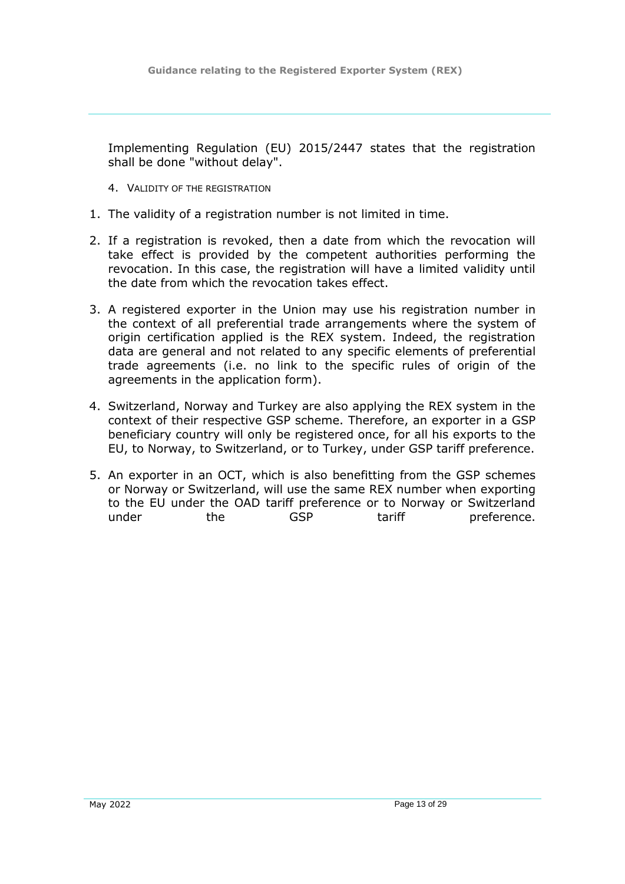Implementing Regulation (EU) 2015/2447 states that the registration shall be done "without delay".

- <span id="page-12-0"></span>4. VALIDITY OF THE REGISTRATION
- 1. The validity of a registration number is not limited in time.
- 2. If a registration is revoked, then a date from which the revocation will take effect is provided by the competent authorities performing the revocation. In this case, the registration will have a limited validity until the date from which the revocation takes effect.
- 3. A registered exporter in the Union may use his registration number in the context of all preferential trade arrangements where the system of origin certification applied is the REX system. Indeed, the registration data are general and not related to any specific elements of preferential trade agreements (i.e. no link to the specific rules of origin of the agreements in the application form).
- 4. Switzerland, Norway and Turkey are also applying the REX system in the context of their respective GSP scheme. Therefore, an exporter in a GSP beneficiary country will only be registered once, for all his exports to the EU, to Norway, to Switzerland, or to Turkey, under GSP tariff preference.
- 5. An exporter in an OCT, which is also benefitting from the GSP schemes or Norway or Switzerland, will use the same REX number when exporting to the EU under the OAD tariff preference or to Norway or Switzerland under the GSP tariff preference.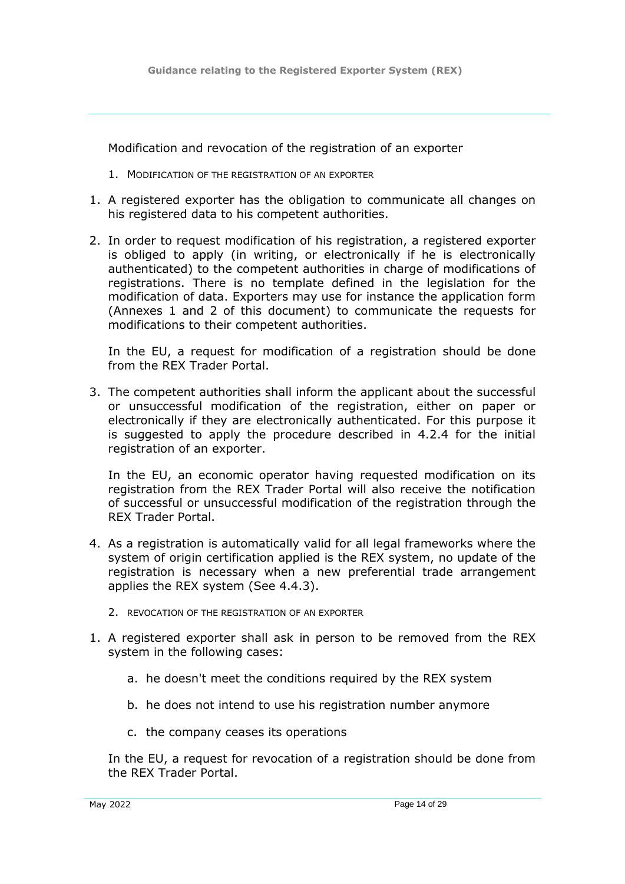Modification and revocation of the registration of an exporter

- <span id="page-13-0"></span>1. MODIFICATION OF THE REGISTRATION OF AN EXPORTER
- 1. A registered exporter has the obligation to communicate all changes on his registered data to his competent authorities.
- 2. In order to request modification of his registration, a registered exporter is obliged to apply (in writing, or electronically if he is electronically authenticated) to the competent authorities in charge of modifications of registrations. There is no template defined in the legislation for the modification of data. Exporters may use for instance the application form (Annexes 1 and 2 of this document) to communicate the requests for modifications to their competent authorities.

In the EU, a request for modification of a registration should be done from the REX Trader Portal.

3. The competent authorities shall inform the applicant about the successful or unsuccessful modification of the registration, either on paper or electronically if they are electronically authenticated. For this purpose it is suggested to apply the procedure described in 4.2.4 for the initial registration of an exporter.

In the EU, an economic operator having requested modification on its registration from the REX Trader Portal will also receive the notification of successful or unsuccessful modification of the registration through the REX Trader Portal.

- 4. As a registration is automatically valid for all legal frameworks where the system of origin certification applied is the REX system, no update of the registration is necessary when a new preferential trade arrangement applies the REX system (See 4.4.3).
	- 2. REVOCATION OF THE REGISTRATION OF AN EXPORTER
- <span id="page-13-1"></span>1. A registered exporter shall ask in person to be removed from the REX system in the following cases:
	- a. he doesn't meet the conditions required by the REX system
	- b. he does not intend to use his registration number anymore
	- c. the company ceases its operations

In the EU, a request for revocation of a registration should be done from the REX Trader Portal.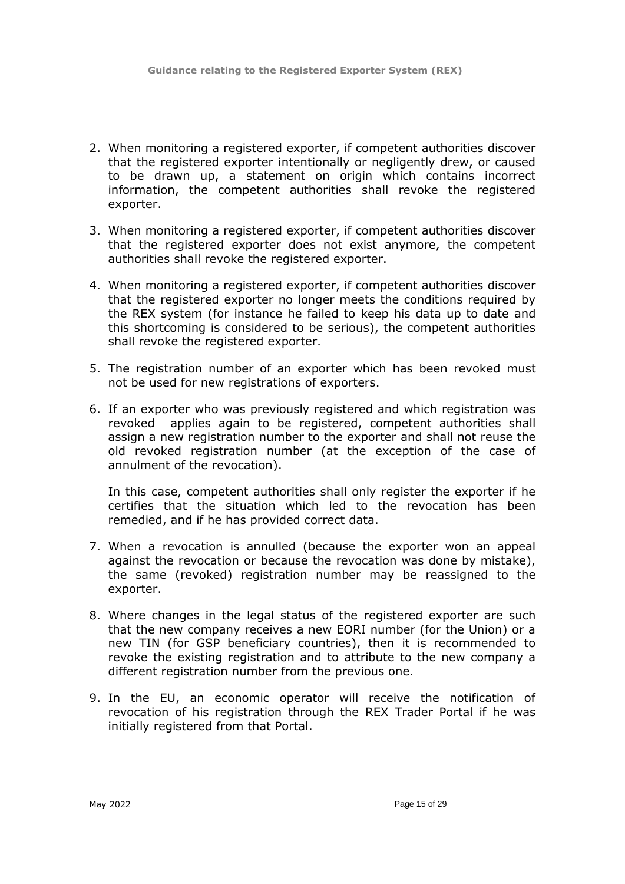- 2. When monitoring a registered exporter, if competent authorities discover that the registered exporter intentionally or negligently drew, or caused to be drawn up, a statement on origin which contains incorrect information, the competent authorities shall revoke the registered exporter.
- 3. When monitoring a registered exporter, if competent authorities discover that the registered exporter does not exist anymore, the competent authorities shall revoke the registered exporter.
- 4. When monitoring a registered exporter, if competent authorities discover that the registered exporter no longer meets the conditions required by the REX system (for instance he failed to keep his data up to date and this shortcoming is considered to be serious), the competent authorities shall revoke the registered exporter.
- 5. The registration number of an exporter which has been revoked must not be used for new registrations of exporters.
- 6. If an exporter who was previously registered and which registration was revoked applies again to be registered, competent authorities shall assign a new registration number to the exporter and shall not reuse the old revoked registration number (at the exception of the case of annulment of the revocation).

In this case, competent authorities shall only register the exporter if he certifies that the situation which led to the revocation has been remedied, and if he has provided correct data.

- 7. When a revocation is annulled (because the exporter won an appeal against the revocation or because the revocation was done by mistake), the same (revoked) registration number may be reassigned to the exporter.
- 8. Where changes in the legal status of the registered exporter are such that the new company receives a new EORI number (for the Union) or a new TIN (for GSP beneficiary countries), then it is recommended to revoke the existing registration and to attribute to the new company a different registration number from the previous one.
- 9. In the EU, an economic operator will receive the notification of revocation of his registration through the REX Trader Portal if he was initially registered from that Portal.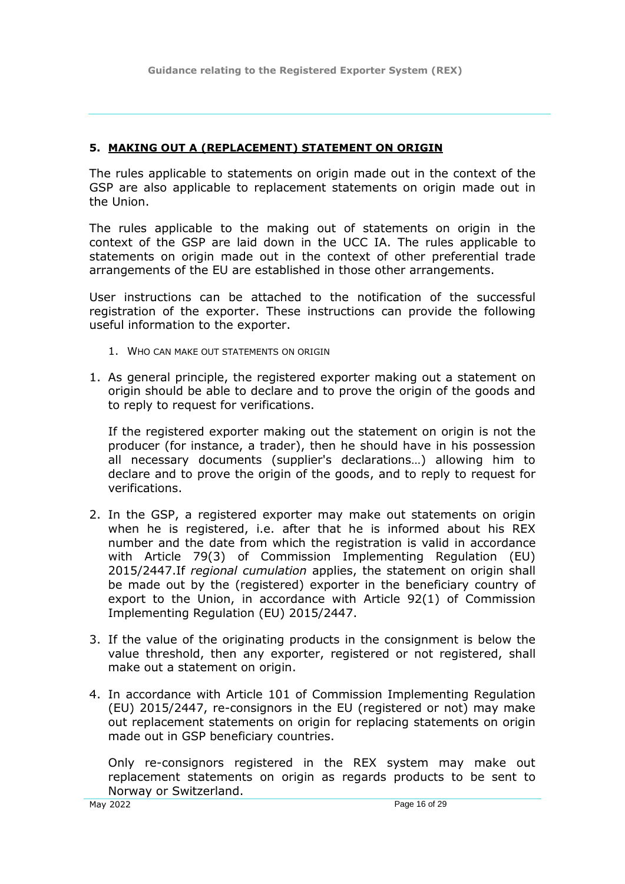#### <span id="page-15-0"></span>**5. MAKING OUT A (REPLACEMENT) STATEMENT ON ORIGIN**

The rules applicable to statements on origin made out in the context of the GSP are also applicable to replacement statements on origin made out in the Union.

The rules applicable to the making out of statements on origin in the context of the GSP are laid down in the UCC IA. The rules applicable to statements on origin made out in the context of other preferential trade arrangements of the EU are established in those other arrangements.

User instructions can be attached to the notification of the successful registration of the exporter. These instructions can provide the following useful information to the exporter.

- <span id="page-15-1"></span>1. WHO CAN MAKE OUT STATEMENTS ON ORIGIN
- 1. As general principle, the registered exporter making out a statement on origin should be able to declare and to prove the origin of the goods and to reply to request for verifications.

If the registered exporter making out the statement on origin is not the producer (for instance, a trader), then he should have in his possession all necessary documents (supplier's declarations…) allowing him to declare and to prove the origin of the goods, and to reply to request for verifications.

- 2. In the GSP, a registered exporter may make out statements on origin when he is registered, i.e. after that he is informed about his REX number and the date from which the registration is valid in accordance with Article 79(3) of Commission Implementing Regulation (EU) 2015/2447.If *regional cumulation* applies, the statement on origin shall be made out by the (registered) exporter in the beneficiary country of export to the Union, in accordance with Article 92(1) of Commission Implementing Regulation (EU) 2015/2447.
- 3. If the value of the originating products in the consignment is below the value threshold, then any exporter, registered or not registered, shall make out a statement on origin.
- 4. In accordance with Article 101 of Commission Implementing Regulation (EU) 2015/2447, re-consignors in the EU (registered or not) may make out replacement statements on origin for replacing statements on origin made out in GSP beneficiary countries.

Only re-consignors registered in the REX system may make out replacement statements on origin as regards products to be sent to Norway or Switzerland.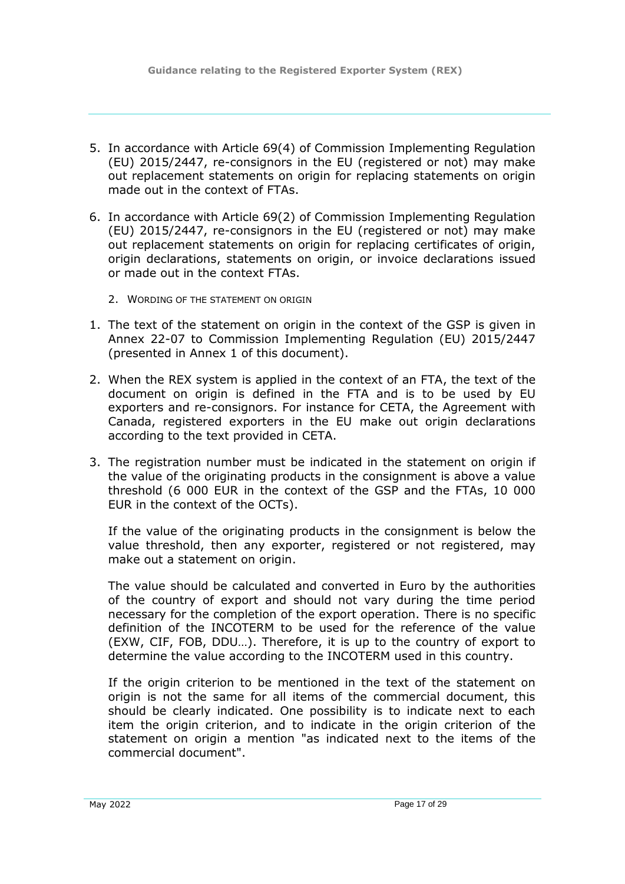- 5. In accordance with Article 69(4) of Commission Implementing Regulation (EU) 2015/2447, re-consignors in the EU (registered or not) may make out replacement statements on origin for replacing statements on origin made out in the context of FTAs.
- 6. In accordance with Article 69(2) of Commission Implementing Regulation (EU) 2015/2447, re-consignors in the EU (registered or not) may make out replacement statements on origin for replacing certificates of origin, origin declarations, statements on origin, or invoice declarations issued or made out in the context FTAs.
	- 2. WORDING OF THE STATEMENT ON ORIGIN
- <span id="page-16-0"></span>1. The text of the statement on origin in the context of the GSP is given in Annex 22-07 to Commission Implementing Regulation (EU) 2015/2447 (presented in Annex 1 of this document).
- 2. When the REX system is applied in the context of an FTA, the text of the document on origin is defined in the FTA and is to be used by EU exporters and re-consignors. For instance for CETA, the Agreement with Canada, registered exporters in the EU make out origin declarations according to the text provided in CETA.
- 3. The registration number must be indicated in the statement on origin if the value of the originating products in the consignment is above a value threshold (6 000 EUR in the context of the GSP and the FTAs, 10 000 EUR in the context of the OCTs).

If the value of the originating products in the consignment is below the value threshold, then any exporter, registered or not registered, may make out a statement on origin.

The value should be calculated and converted in Euro by the authorities of the country of export and should not vary during the time period necessary for the completion of the export operation. There is no specific definition of the INCOTERM to be used for the reference of the value (EXW, CIF, FOB, DDU…). Therefore, it is up to the country of export to determine the value according to the INCOTERM used in this country.

If the origin criterion to be mentioned in the text of the statement on origin is not the same for all items of the commercial document, this should be clearly indicated. One possibility is to indicate next to each item the origin criterion, and to indicate in the origin criterion of the statement on origin a mention "as indicated next to the items of the commercial document".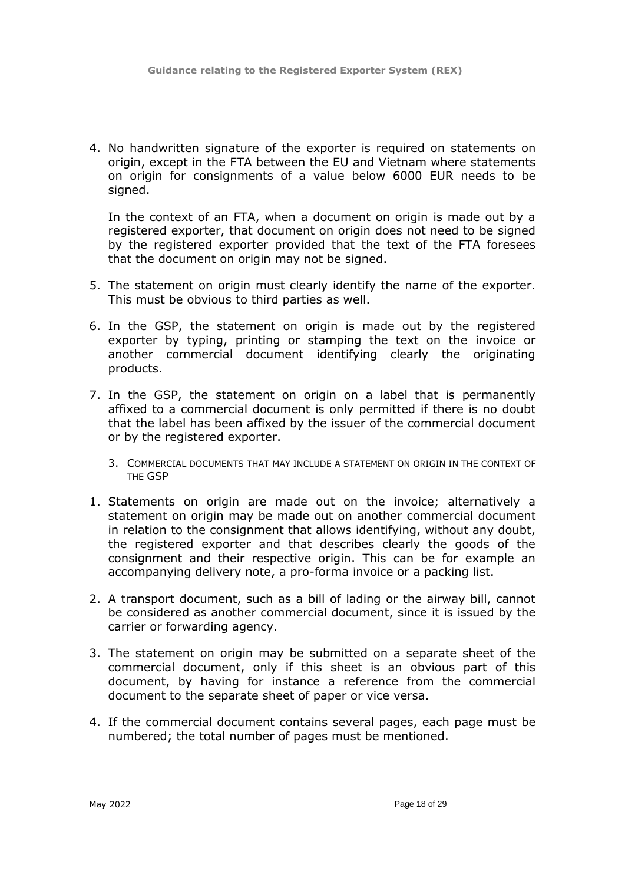4. No handwritten signature of the exporter is required on statements on origin, except in the FTA between the EU and Vietnam where statements on origin for consignments of a value below 6000 EUR needs to be signed.

In the context of an FTA, when a document on origin is made out by a registered exporter, that document on origin does not need to be signed by the registered exporter provided that the text of the FTA foresees that the document on origin may not be signed.

- 5. The statement on origin must clearly identify the name of the exporter. This must be obvious to third parties as well.
- 6. In the GSP, the statement on origin is made out by the registered exporter by typing, printing or stamping the text on the invoice or another commercial document identifying clearly the originating products.
- 7. In the GSP, the statement on origin on a label that is permanently affixed to a commercial document is only permitted if there is no doubt that the label has been affixed by the issuer of the commercial document or by the registered exporter.
	- 3. COMMERCIAL DOCUMENTS THAT MAY INCLUDE A STATEMENT ON ORIGIN IN THE CONTEXT OF THE GSP
- <span id="page-17-0"></span>1. Statements on origin are made out on the invoice; alternatively a statement on origin may be made out on another commercial document in relation to the consignment that allows identifying, without any doubt, the registered exporter and that describes clearly the goods of the consignment and their respective origin. This can be for example an accompanying delivery note, a pro-forma invoice or a packing list.
- 2. A transport document, such as a bill of lading or the airway bill, cannot be considered as another commercial document, since it is issued by the carrier or forwarding agency.
- 3. The statement on origin may be submitted on a separate sheet of the commercial document, only if this sheet is an obvious part of this document, by having for instance a reference from the commercial document to the separate sheet of paper or vice versa.
- 4. If the commercial document contains several pages, each page must be numbered; the total number of pages must be mentioned.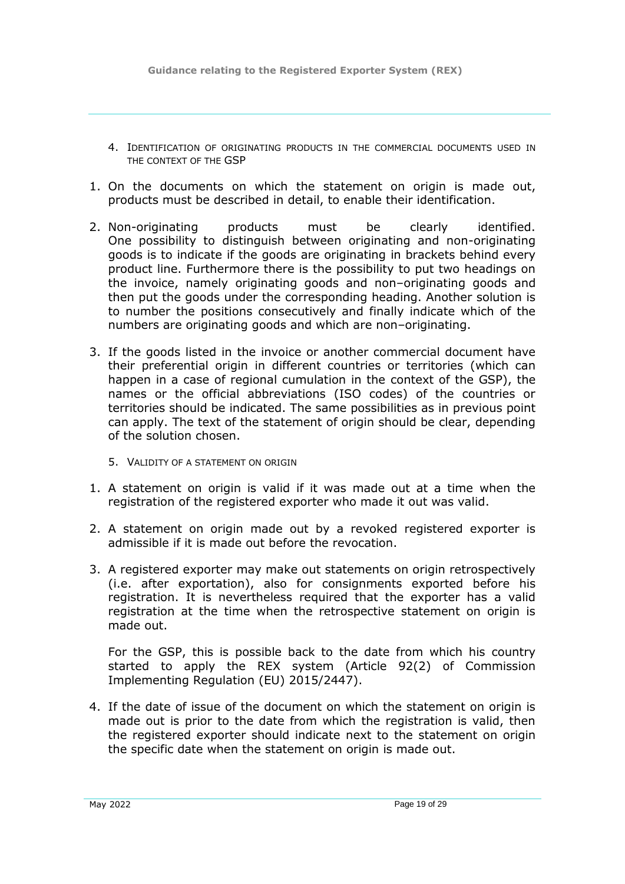- <span id="page-18-0"></span>4. IDENTIFICATION OF ORIGINATING PRODUCTS IN THE COMMERCIAL DOCUMENTS USED IN THE CONTEXT OF THE GSP
- 1. On the documents on which the statement on origin is made out, products must be described in detail, to enable their identification.
- 2. Non-originating products must be clearly identified. One possibility to distinguish between originating and non-originating goods is to indicate if the goods are originating in brackets behind every product line. Furthermore there is the possibility to put two headings on the invoice, namely originating goods and non–originating goods and then put the goods under the corresponding heading. Another solution is to number the positions consecutively and finally indicate which of the numbers are originating goods and which are non–originating.
- 3. If the goods listed in the invoice or another commercial document have their preferential origin in different countries or territories (which can happen in a case of regional cumulation in the context of the GSP), the names or the official abbreviations (ISO codes) of the countries or territories should be indicated. The same possibilities as in previous point can apply. The text of the statement of origin should be clear, depending of the solution chosen.
	- 5. VALIDITY OF A STATEMENT ON ORIGIN
- <span id="page-18-1"></span>1. A statement on origin is valid if it was made out at a time when the registration of the registered exporter who made it out was valid.
- 2. A statement on origin made out by a revoked registered exporter is admissible if it is made out before the revocation.
- 3. A registered exporter may make out statements on origin retrospectively (i.e. after exportation), also for consignments exported before his registration. It is nevertheless required that the exporter has a valid registration at the time when the retrospective statement on origin is made out.

For the GSP, this is possible back to the date from which his country started to apply the REX system (Article 92(2) of Commission Implementing Regulation (EU) 2015/2447).

4. If the date of issue of the document on which the statement on origin is made out is prior to the date from which the registration is valid, then the registered exporter should indicate next to the statement on origin the specific date when the statement on origin is made out.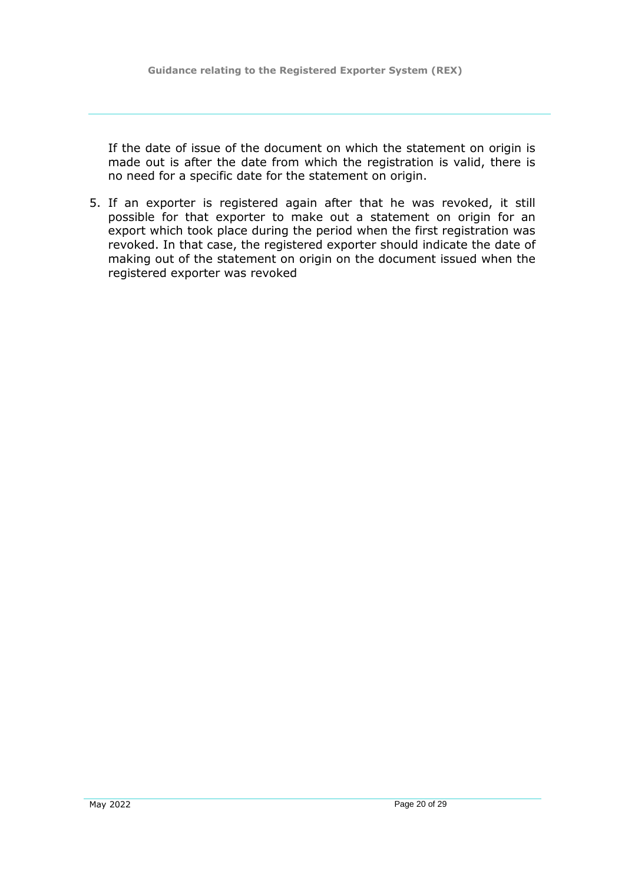If the date of issue of the document on which the statement on origin is made out is after the date from which the registration is valid, there is no need for a specific date for the statement on origin.

5. If an exporter is registered again after that he was revoked, it still possible for that exporter to make out a statement on origin for an export which took place during the period when the first registration was revoked. In that case, the registered exporter should indicate the date of making out of the statement on origin on the document issued when the registered exporter was revoked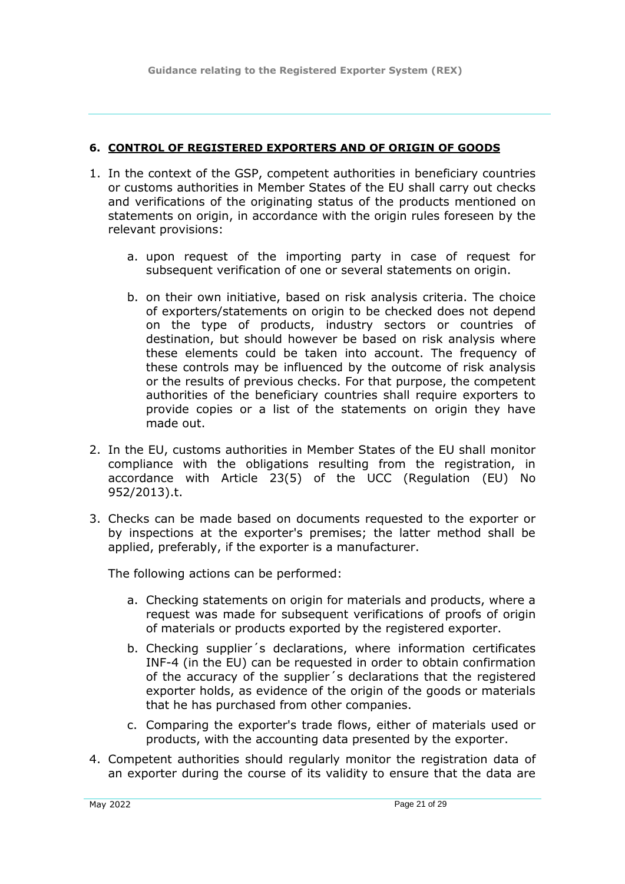#### <span id="page-20-0"></span>**6. CONTROL OF REGISTERED EXPORTERS AND OF ORIGIN OF GOODS**

- 1. In the context of the GSP, competent authorities in beneficiary countries or customs authorities in Member States of the EU shall carry out checks and verifications of the originating status of the products mentioned on statements on origin, in accordance with the origin rules foreseen by the relevant provisions:
	- a. upon request of the importing party in case of request for subsequent verification of one or several statements on origin.
	- b. on their own initiative, based on risk analysis criteria. The choice of exporters/statements on origin to be checked does not depend on the type of products, industry sectors or countries of destination, but should however be based on risk analysis where these elements could be taken into account. The frequency of these controls may be influenced by the outcome of risk analysis or the results of previous checks. For that purpose, the competent authorities of the beneficiary countries shall require exporters to provide copies or a list of the statements on origin they have made out.
- 2. In the EU, customs authorities in Member States of the EU shall monitor compliance with the obligations resulting from the registration, in accordance with Article 23(5) of the UCC (Regulation (EU) No 952/2013).t.
- 3. Checks can be made based on documents requested to the exporter or by inspections at the exporter's premises; the latter method shall be applied, preferably, if the exporter is a manufacturer.

The following actions can be performed:

- a. Checking statements on origin for materials and products, where a request was made for subsequent verifications of proofs of origin of materials or products exported by the registered exporter.
- b. Checking supplier´s declarations, where information certificates INF-4 (in the EU) can be requested in order to obtain confirmation of the accuracy of the supplier´s declarations that the registered exporter holds, as evidence of the origin of the goods or materials that he has purchased from other companies.
- c. Comparing the exporter's trade flows, either of materials used or products, with the accounting data presented by the exporter.
- 4. Competent authorities should regularly monitor the registration data of an exporter during the course of its validity to ensure that the data are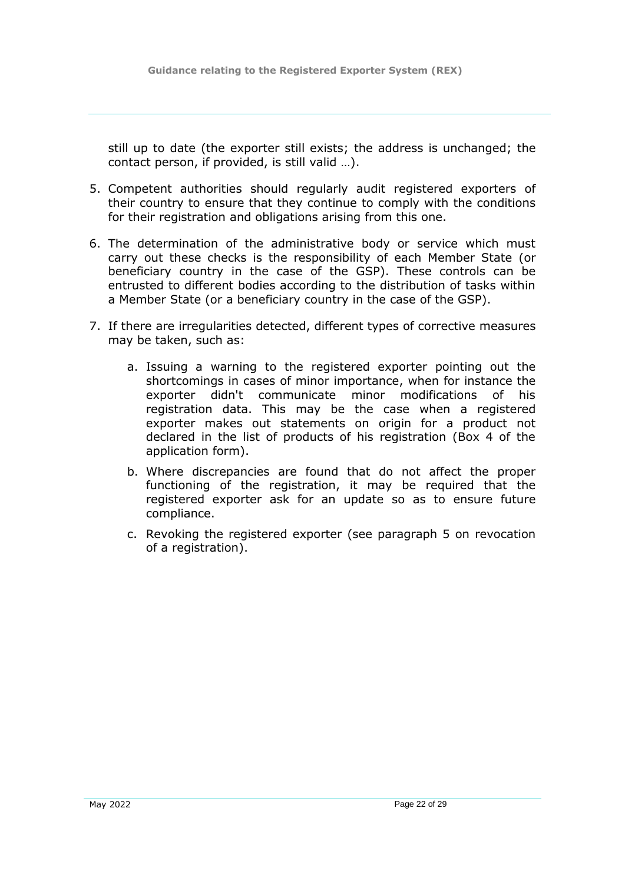still up to date (the exporter still exists; the address is unchanged; the contact person, if provided, is still valid …).

- 5. Competent authorities should regularly audit registered exporters of their country to ensure that they continue to comply with the conditions for their registration and obligations arising from this one.
- 6. The determination of the administrative body or service which must carry out these checks is the responsibility of each Member State (or beneficiary country in the case of the GSP). These controls can be entrusted to different bodies according to the distribution of tasks within a Member State (or a beneficiary country in the case of the GSP).
- 7. If there are irregularities detected, different types of corrective measures may be taken, such as:
	- a. Issuing a warning to the registered exporter pointing out the shortcomings in cases of minor importance, when for instance the exporter didn't communicate minor modifications of his registration data. This may be the case when a registered exporter makes out statements on origin for a product not declared in the list of products of his registration (Box 4 of the application form).
	- b. Where discrepancies are found that do not affect the proper functioning of the registration, it may be required that the registered exporter ask for an update so as to ensure future compliance.
	- c. Revoking the registered exporter (see paragraph 5 on revocation of a registration).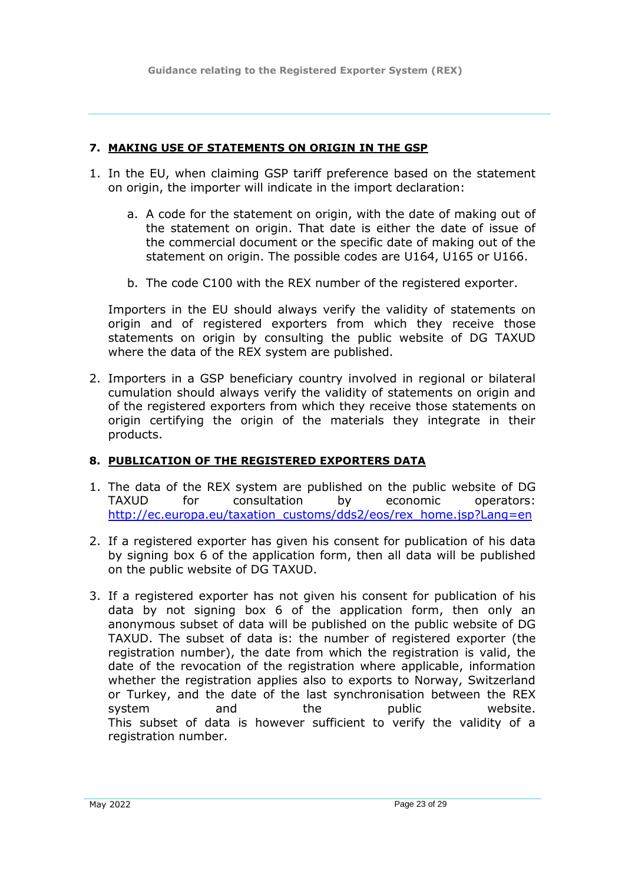**Guidance relating to the Registered Exporter System (REX)**

### <span id="page-22-0"></span>**7. MAKING USE OF STATEMENTS ON ORIGIN IN THE GSP**

- 1. In the EU, when claiming GSP tariff preference based on the statement on origin, the importer will indicate in the import declaration:
	- a. A code for the statement on origin, with the date of making out of the statement on origin. That date is either the date of issue of the commercial document or the specific date of making out of the statement on origin. The possible codes are U164, U165 or U166.
	- b. The code C100 with the REX number of the registered exporter.

Importers in the EU should always verify the validity of statements on origin and of registered exporters from which they receive those statements on origin by consulting the public website of DG TAXUD where the data of the REX system are published.

2. Importers in a GSP beneficiary country involved in regional or bilateral cumulation should always verify the validity of statements on origin and of the registered exporters from which they receive those statements on origin certifying the origin of the materials they integrate in their products.

## <span id="page-22-1"></span>**8. PUBLICATION OF THE REGISTERED EXPORTERS DATA**

- 1. The data of the REX system are published on the public website of DG TAXUD for consultation by economic operators: [http://ec.europa.eu/taxation\\_customs/dds2/eos/rex\\_home.jsp?Lang=en](http://ec.europa.eu/taxation_customs/dds2/eos/rex_home.jsp?Lang=en)
- 2. If a registered exporter has given his consent for publication of his data by signing box 6 of the application form, then all data will be published on the public website of DG TAXUD.
- 3. If a registered exporter has not given his consent for publication of his data by not signing box 6 of the application form, then only an anonymous subset of data will be published on the public website of DG TAXUD. The subset of data is: the number of registered exporter (the registration number), the date from which the registration is valid, the date of the revocation of the registration where applicable, information whether the registration applies also to exports to Norway, Switzerland or Turkey, and the date of the last synchronisation between the REX system and the public website. This subset of data is however sufficient to verify the validity of a registration number.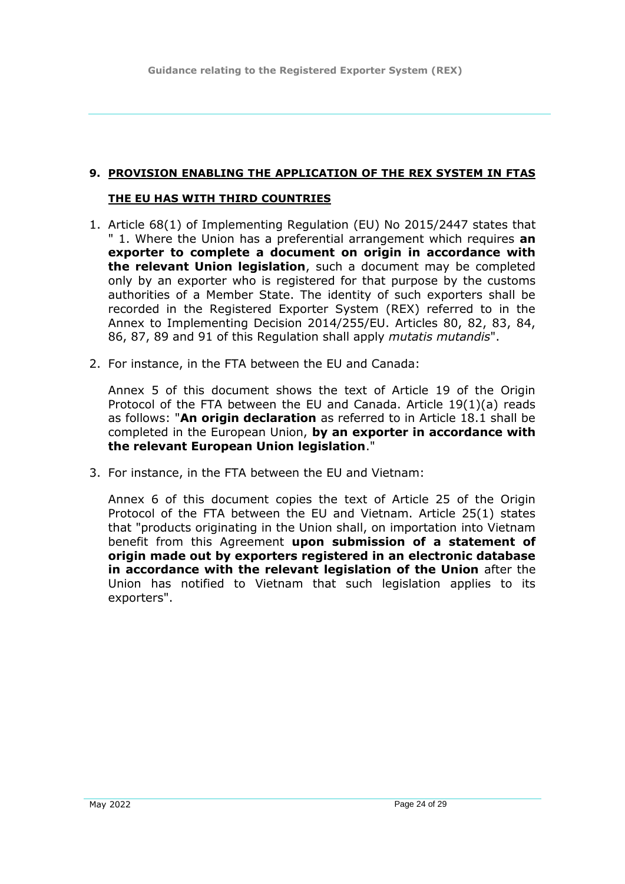### <span id="page-23-0"></span>**9. PROVISION ENABLING THE APPLICATION OF THE REX SYSTEM IN FTAS**

#### **THE EU HAS WITH THIRD COUNTRIES**

- 1. Article 68(1) of Implementing Regulation (EU) No 2015/2447 states that " 1. Where the Union has a preferential arrangement which requires **an exporter to complete a document on origin in accordance with the relevant Union legislation**, such a document may be completed only by an exporter who is registered for that purpose by the customs authorities of a Member State. The identity of such exporters shall be recorded in the Registered Exporter System (REX) referred to in the Annex to Implementing Decision 2014/255/EU. Articles 80, 82, 83, 84, 86, 87, 89 and 91 of this Regulation shall apply *mutatis mutandis*".
- 2. For instance, in the FTA between the EU and Canada:

Annex 5 of this document shows the text of Article 19 of the Origin Protocol of the FTA between the EU and Canada. Article 19(1)(a) reads as follows: "**An origin declaration** as referred to in Article 18.1 shall be completed in the European Union, **by an exporter in accordance with the relevant European Union legislation**."

3. For instance, in the FTA between the EU and Vietnam:

Annex 6 of this document copies the text of Article 25 of the Origin Protocol of the FTA between the EU and Vietnam. Article 25(1) states that "products originating in the Union shall, on importation into Vietnam benefit from this Agreement **upon submission of a statement of origin made out by exporters registered in an electronic database in accordance with the relevant legislation of the Union** after the Union has notified to Vietnam that such legislation applies to its exporters".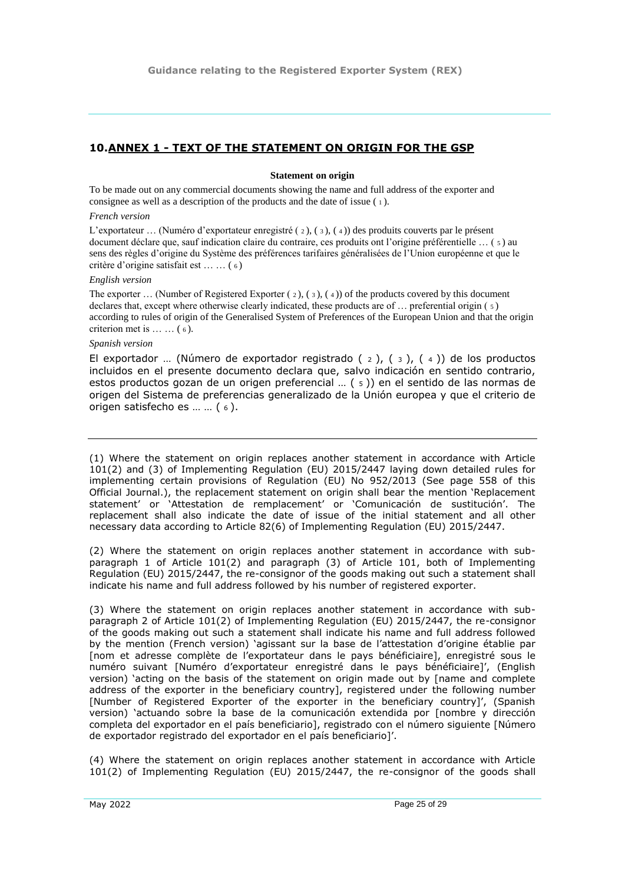#### <span id="page-24-0"></span>**10.ANNEX 1 - TEXT OF THE STATEMENT ON ORIGIN FOR THE GSP**

#### **Statement on origin**

To be made out on any commercial documents showing the name and full address of the exporter and consignee as well as a description of the products and the date of issue ( 1 ).

#### *French version*

L'exportateur … (Numéro d'exportateur enregistré ( 2 ), ( 3 ), ( 4 )) des produits couverts par le présent document déclare que, sauf indication claire du contraire, ces produits ont l'origine préférentielle … ( 5 ) au sens des règles d'origine du Système des préférences tarifaires généralisées de l'Union européenne et que le critère d'origine satisfait est … … ( 6 )

#### *English version*

The exporter ... (Number of Registered Exporter  $(2)$ ,  $(3)$ ,  $(4)$ ) of the products covered by this document declares that, except where otherwise clearly indicated, these products are of  $\ldots$  preferential origin ( $\zeta$ ) according to rules of origin of the Generalised System of Preferences of the European Union and that the origin criterion met is  $\dots \dots$  (6).

#### *Spanish version*

El exportador ... (Número de exportador registrado  $(2)$ ,  $(3)$ ,  $(4)$ ) de los productos incluidos en el presente documento declara que, salvo indicación en sentido contrario, estos productos gozan de un origen preferencial … ( 5 )) en el sentido de las normas de origen del Sistema de preferencias generalizado de la Unión europea y que el criterio de origen satisfecho es … … ( 6 ).

(1) Where the statement on origin replaces another statement in accordance with Article 101(2) and (3) of Implementing Regulation (EU) 2015/2447 laying down detailed rules for implementing certain provisions of Regulation (EU) No 952/2013 (See page 558 of this Official Journal.), the replacement statement on origin shall bear the mention 'Replacement statement' or 'Attestation de remplacement' or 'Comunicación de sustitución'. The replacement shall also indicate the date of issue of the initial statement and all other necessary data according to Article 82(6) of Implementing Regulation (EU) 2015/2447.

(2) Where the statement on origin replaces another statement in accordance with subparagraph 1 of Article 101(2) and paragraph (3) of Article 101, both of Implementing Regulation (EU) 2015/2447, the re-consignor of the goods making out such a statement shall indicate his name and full address followed by his number of registered exporter.

(3) Where the statement on origin replaces another statement in accordance with subparagraph 2 of Article 101(2) of Implementing Regulation (EU) 2015/2447, the re-consignor of the goods making out such a statement shall indicate his name and full address followed by the mention (French version) 'agissant sur la base de l'attestation d'origine établie par [nom et adresse complète de l'exportateur dans le pays bénéficiaire], enregistré sous le numéro suivant [Numéro d'exportateur enregistré dans le pays bénéficiaire]', (English version) 'acting on the basis of the statement on origin made out by [name and complete address of the exporter in the beneficiary country], registered under the following number [Number of Registered Exporter of the exporter in the beneficiary country]', (Spanish version) 'actuando sobre la base de la comunicación extendida por [nombre y dirección completa del exportador en el país beneficiario], registrado con el número siguiente [Número de exportador registrado del exportador en el país beneficiario]'.

(4) Where the statement on origin replaces another statement in accordance with Article 101(2) of Implementing Regulation (EU) 2015/2447, the re-consignor of the goods shall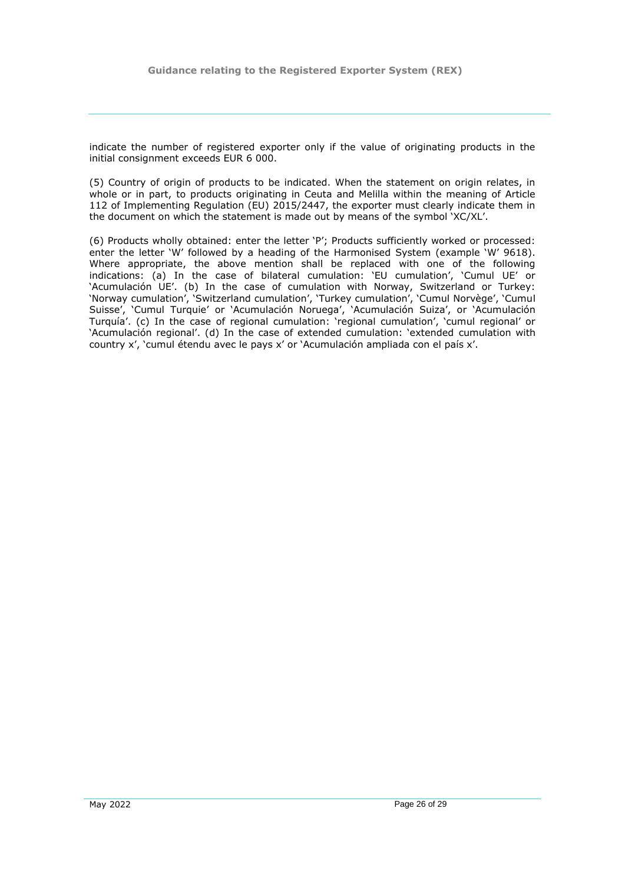indicate the number of registered exporter only if the value of originating products in the initial consignment exceeds EUR 6 000.

(5) Country of origin of products to be indicated. When the statement on origin relates, in whole or in part, to products originating in Ceuta and Melilla within the meaning of Article 112 of Implementing Regulation (EU) 2015/2447, the exporter must clearly indicate them in the document on which the statement is made out by means of the symbol 'XC/XL'.

(6) Products wholly obtained: enter the letter 'P'; Products sufficiently worked or processed: enter the letter 'W' followed by a heading of the Harmonised System (example 'W' 9618). Where appropriate, the above mention shall be replaced with one of the following indications: (a) In the case of bilateral cumulation: 'EU cumulation', 'Cumul UE' or 'Acumulación UE'. (b) In the case of cumulation with Norway, Switzerland or Turkey: 'Norway cumulation', 'Switzerland cumulation', 'Turkey cumulation', 'Cumul Norvège', 'Cumul Suisse', 'Cumul Turquie' or 'Acumulación Noruega', 'Acumulación Suiza', or 'Acumulación Turquía'. (c) In the case of regional cumulation: 'regional cumulation', 'cumul regional' or 'Acumulación regional'. (d) In the case of extended cumulation: 'extended cumulation with country x', 'cumul étendu avec le pays x' or 'Acumulación ampliada con el país x'.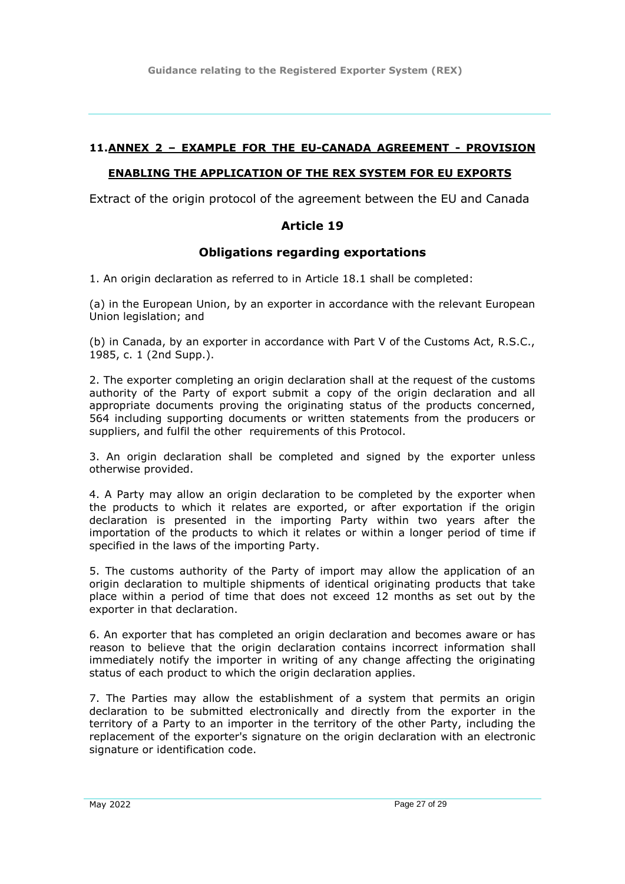**Guidance relating to the Registered Exporter System (REX)**

### <span id="page-26-0"></span>**11.ANNEX 2 – EXAMPLE FOR THE EU-CANADA AGREEMENT - PROVISION**

#### **ENABLING THE APPLICATION OF THE REX SYSTEM FOR EU EXPORTS**

Extract of the origin protocol of the agreement between the EU and Canada

### **Article 19**

#### **Obligations regarding exportations**

1. An origin declaration as referred to in Article 18.1 shall be completed:

(a) in the European Union, by an exporter in accordance with the relevant European Union legislation; and

(b) in Canada, by an exporter in accordance with Part V of the Customs Act, R.S.C., 1985, c. 1 (2nd Supp.).

2. The exporter completing an origin declaration shall at the request of the customs authority of the Party of export submit a copy of the origin declaration and all appropriate documents proving the originating status of the products concerned, 564 including supporting documents or written statements from the producers or suppliers, and fulfil the other requirements of this Protocol.

3. An origin declaration shall be completed and signed by the exporter unless otherwise provided.

4. A Party may allow an origin declaration to be completed by the exporter when the products to which it relates are exported, or after exportation if the origin declaration is presented in the importing Party within two years after the importation of the products to which it relates or within a longer period of time if specified in the laws of the importing Party.

5. The customs authority of the Party of import may allow the application of an origin declaration to multiple shipments of identical originating products that take place within a period of time that does not exceed 12 months as set out by the exporter in that declaration.

6. An exporter that has completed an origin declaration and becomes aware or has reason to believe that the origin declaration contains incorrect information shall immediately notify the importer in writing of any change affecting the originating status of each product to which the origin declaration applies.

7. The Parties may allow the establishment of a system that permits an origin declaration to be submitted electronically and directly from the exporter in the territory of a Party to an importer in the territory of the other Party, including the replacement of the exporter's signature on the origin declaration with an electronic signature or identification code.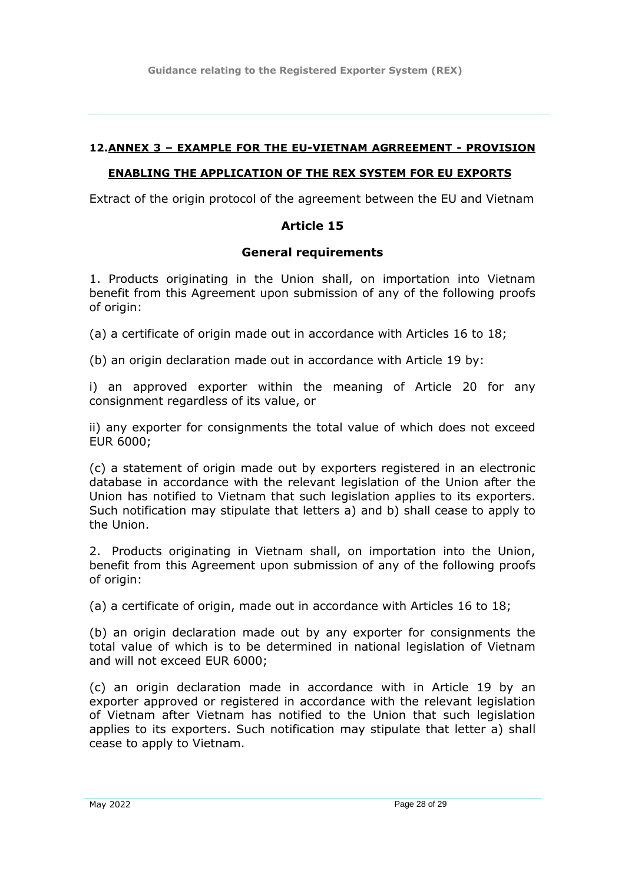**Guidance relating to the Registered Exporter System (REX)**

### <span id="page-27-0"></span>**12.ANNEX 3 – EXAMPLE FOR THE EU-VIETNAM AGRREEMENT - PROVISION**

### **ENABLING THE APPLICATION OF THE REX SYSTEM FOR EU EXPORTS**

Extract of the origin protocol of the agreement between the EU and Vietnam

## **Article 15**

### **General requirements**

1. Products originating in the Union shall, on importation into Vietnam benefit from this Agreement upon submission of any of the following proofs of origin:

(a) a certificate of origin made out in accordance with Articles 16 to 18;

(b) an origin declaration made out in accordance with Article 19 by:

i) an approved exporter within the meaning of Article 20 for any consignment regardless of its value, or

ii) any exporter for consignments the total value of which does not exceed EUR 6000;

(c) a statement of origin made out by exporters registered in an electronic database in accordance with the relevant legislation of the Union after the Union has notified to Vietnam that such legislation applies to its exporters. Such notification may stipulate that letters a) and b) shall cease to apply to the Union.

2. Products originating in Vietnam shall, on importation into the Union, benefit from this Agreement upon submission of any of the following proofs of origin:

(a) a certificate of origin, made out in accordance with Articles 16 to 18;

(b) an origin declaration made out by any exporter for consignments the total value of which is to be determined in national legislation of Vietnam and will not exceed EUR 6000;

(c) an origin declaration made in accordance with in Article 19 by an exporter approved or registered in accordance with the relevant legislation of Vietnam after Vietnam has notified to the Union that such legislation applies to its exporters. Such notification may stipulate that letter a) shall cease to apply to Vietnam.